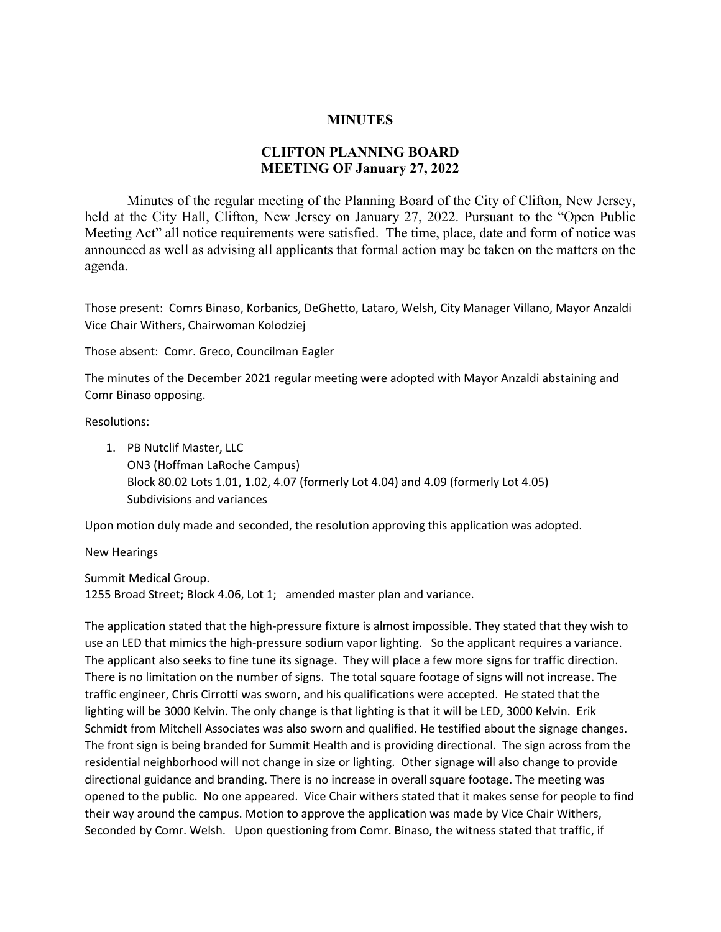## **MINUTES**

## **CLIFTON PLANNING BOARD MEETING OF January 27, 2022**

Minutes of the regular meeting of the Planning Board of the City of Clifton, New Jersey, held at the City Hall, Clifton, New Jersey on January 27, 2022. Pursuant to the "Open Public Meeting Act" all notice requirements were satisfied. The time, place, date and form of notice was announced as well as advising all applicants that formal action may be taken on the matters on the agenda.

Those present: Comrs Binaso, Korbanics, DeGhetto, Lataro, Welsh, City Manager Villano, Mayor Anzaldi Vice Chair Withers, Chairwoman Kolodziej

Those absent: Comr. Greco, Councilman Eagler

The minutes of the December 2021 regular meeting were adopted with Mayor Anzaldi abstaining and Comr Binaso opposing.

Resolutions:

1. PB Nutclif Master, LLC ON3 (Hoffman LaRoche Campus) Block 80.02 Lots 1.01, 1.02, 4.07 (formerly Lot 4.04) and 4.09 (formerly Lot 4.05) Subdivisions and variances

Upon motion duly made and seconded, the resolution approving this application was adopted.

New Hearings

Summit Medical Group. 1255 Broad Street; Block 4.06, Lot 1; amended master plan and variance.

The application stated that the high-pressure fixture is almost impossible. They stated that they wish to use an LED that mimics the high-pressure sodium vapor lighting. So the applicant requires a variance. The applicant also seeks to fine tune its signage. They will place a few more signs for traffic direction. There is no limitation on the number of signs. The total square footage of signs will not increase. The traffic engineer, Chris Cirrotti was sworn, and his qualifications were accepted. He stated that the lighting will be 3000 Kelvin. The only change is that lighting is that it will be LED, 3000 Kelvin. Erik Schmidt from Mitchell Associates was also sworn and qualified. He testified about the signage changes. The front sign is being branded for Summit Health and is providing directional. The sign across from the residential neighborhood will not change in size or lighting. Other signage will also change to provide directional guidance and branding. There is no increase in overall square footage. The meeting was opened to the public. No one appeared. Vice Chair withers stated that it makes sense for people to find their way around the campus. Motion to approve the application was made by Vice Chair Withers, Seconded by Comr. Welsh. Upon questioning from Comr. Binaso, the witness stated that traffic, if